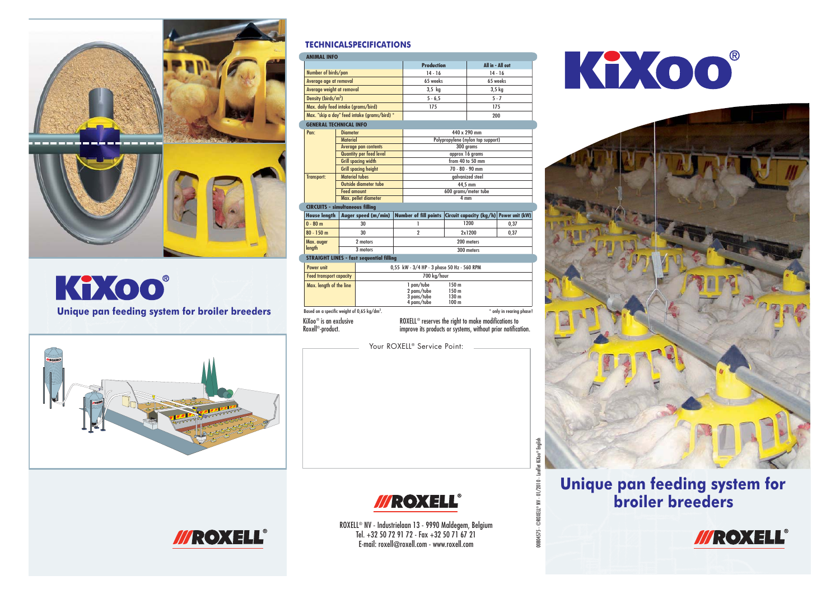

### KiXoo® Unique pan feeding system for broiler breeders



#### **TECHNICALSPECIFICATIONS**

| <b>ANIMAL INFO</b>                                      |                                                |                                                              |                                                                 |                                            |                  |                         |                          |
|---------------------------------------------------------|------------------------------------------------|--------------------------------------------------------------|-----------------------------------------------------------------|--------------------------------------------|------------------|-------------------------|--------------------------|
|                                                         |                                                |                                                              | <b>Production</b>                                               |                                            |                  | All in - All out        |                          |
| Number of birds/pan                                     |                                                |                                                              |                                                                 | $14 - 16$                                  |                  | $14 - 16$               |                          |
| Average age at removal                                  |                                                |                                                              |                                                                 | 65 weeks                                   |                  | 65 weeks                |                          |
| Average weight at removal                               |                                                |                                                              |                                                                 | $3.5$ kg                                   |                  | 3.5 <sub>kq</sub>       |                          |
| Density (birds/m <sup>2</sup> )                         |                                                |                                                              |                                                                 | $5 - 6, 5$                                 |                  | $5 - 7$                 |                          |
| Max. daily feed intake (grams/bird)                     |                                                |                                                              |                                                                 | 175                                        |                  | 175                     |                          |
| Max. "skip a day" feed intake (grams/bird) *            |                                                |                                                              |                                                                 |                                            |                  | 200                     |                          |
| <b>GENERAL TECHNICAL INFO</b>                           |                                                |                                                              |                                                                 |                                            |                  |                         |                          |
| Pan:                                                    | <b>Diameter</b>                                |                                                              |                                                                 | 440 x 290 mm                               |                  |                         |                          |
|                                                         | <b>Material</b>                                |                                                              |                                                                 | Polypropylene (nylon top support)          |                  |                         |                          |
|                                                         | <b>Average pan contents</b>                    |                                                              |                                                                 | 300 grams                                  |                  |                         |                          |
|                                                         | <b>Quantity per feed level</b>                 |                                                              |                                                                 | approx 16 grams                            |                  |                         |                          |
|                                                         | <b>Grill spacing width</b>                     |                                                              |                                                                 | from 40 to 50 mm                           |                  |                         |                          |
|                                                         | <b>Grill spacing height</b>                    |                                                              |                                                                 | $70 - 80 - 90$ mm                          |                  |                         |                          |
| <b>Transport:</b>                                       | <b>Material tubes</b><br>Outside diameter tube |                                                              |                                                                 | aalvanized steel                           |                  |                         |                          |
|                                                         | <b>Feed amount</b>                             |                                                              |                                                                 | 44.5 mm<br>600 arams/meter tube            |                  |                         |                          |
|                                                         | Max. pellet diameter                           |                                                              |                                                                 | 4 <sub>mm</sub>                            |                  |                         |                          |
| <b>CIRCUITS - simultaneous filling</b>                  |                                                |                                                              |                                                                 |                                            |                  |                         |                          |
| <b>House length</b>                                     |                                                | Auger speed (m/min)                                          |                                                                 | <b>Number of fill points</b>               |                  | Circuit capacity (kg/h) | Power unit (kW)          |
| $0 - 80$ m                                              |                                                | 30                                                           |                                                                 | 1                                          |                  | 1200                    | 0,37                     |
| $80 - 150$ m                                            |                                                | 30                                                           |                                                                 | $\overline{2}$                             | 2x1200           |                         | 0,37                     |
| Max. auger<br>length                                    | 2 motors                                       |                                                              |                                                                 | 200 meters                                 |                  |                         |                          |
|                                                         | 3 motors                                       |                                                              |                                                                 | 300 meters                                 |                  |                         |                          |
| <b>STRAIGHT LINES - fast sequential filling</b>         |                                                |                                                              |                                                                 |                                            |                  |                         |                          |
| Power unit                                              |                                                |                                                              |                                                                 | 0,55 kW - 3/4 HP - 3 phase 50 Hz - 560 RPM |                  |                         |                          |
| <b>Feed transport capacity</b>                          |                                                | 700 ka/hour                                                  |                                                                 |                                            |                  |                         |                          |
| Max. length of the line                                 |                                                |                                                              |                                                                 | 1 pan/tube                                 | 150 <sub>m</sub> |                         |                          |
|                                                         |                                                | 150 <sub>m</sub><br>2 pans/tube                              |                                                                 |                                            |                  |                         |                          |
|                                                         |                                                | 3 pans/tube<br>130 <sub>m</sub>                              |                                                                 |                                            |                  |                         |                          |
|                                                         |                                                |                                                              |                                                                 | 4 pans/tube                                | 100 <sub>m</sub> |                         |                          |
| Based on a specific weight of 0,65 kg/dm <sup>3</sup> . |                                                |                                                              |                                                                 |                                            |                  |                         | * only in rearing phase! |
| KiXoo® is an exclusive                                  |                                                |                                                              | ROXELL <sup>®</sup> reserves the right to make modifications to |                                            |                  |                         |                          |
| Roxell®-product.                                        |                                                | improve its products or systems, without prior notification. |                                                                 |                                            |                  |                         |                          |
|                                                         |                                                |                                                              |                                                                 |                                            |                  |                         |                          |
|                                                         |                                                |                                                              |                                                                 | Your ROXELL <sup>®</sup> Service Point:    |                  |                         |                          |
|                                                         |                                                |                                                              |                                                                 |                                            |                  |                         |                          |



### *III* ROXEL

ROXELL® NV - Industrielaan 13 - 9990 Maldegem, Belgium Tel. +32 50 72 91 72 - Fax +32 50 71 67 21 E-mail: roxell@roxell.com - www.roxell.com

00804575 - ©ROXELL ®

00804575 - 0

 $\degree$  NV - 01/2010 - Leaflet KiXoo $^{\circ}$ 

® English





### Unique pan feeding system for broiler breeders